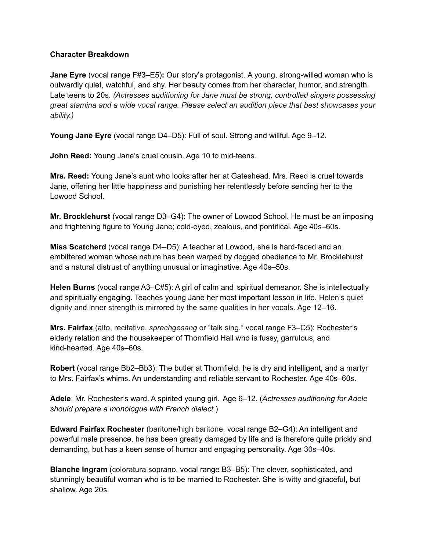## **Character Breakdown**

**Jane Eyre** (vocal range F#3–E5)**:** Our story's protagonist. A young, strong-willed woman who is outwardly quiet, watchful, and shy. Her beauty comes from her character, humor, and strength. Late teens to 20s. *(Actresses auditioning for Jane must be strong, controlled singers possessing great stamina and a wide vocal range. Please select an audition piece that best showcases your ability.)*

**Young Jane Eyre** (vocal range D4–D5): Full of soul. Strong and willful. Age 9–12.

**John Reed:** Young Jane's cruel cousin. Age 10 to mid-teens.

**Mrs. Reed:** Young Jane's aunt who looks after her at Gateshead. Mrs. Reed is cruel towards Jane, offering her little happiness and punishing her relentlessly before sending her to the Lowood School.

**Mr. Brocklehurst** (vocal range D3–G4): The owner of Lowood School. He must be an imposing and frightening figure to Young Jane; cold-eyed, zealous, and pontifical. Age 40s–60s.

**Miss Scatcherd** (vocal range D4–D5): A teacher at Lowood, she is hard-faced and an embittered woman whose nature has been warped by dogged obedience to Mr. Brocklehurst and a natural distrust of anything unusual or imaginative. Age 40s–50s.

**Helen Burns** (vocal range A3–C#5): A girl of calm and spiritual demeanor. She is intellectually and spiritually engaging. Teaches young Jane her most important lesson in life. Helen's quiet dignity and inner strength is mirrored by the same qualities in her vocals. Age 12–16.

**Mrs. Fairfax** (alto, recitative, *sprechgesang* or "talk sing," vocal range F3–C5): Rochester's elderly relation and the housekeeper of Thornfield Hall who is fussy, garrulous, and kind-hearted. Age 40s–60s.

**Robert** (vocal range Bb2–Bb3): The butler at Thornfield, he is dry and intelligent, and a martyr to Mrs. Fairfax's whims. An understanding and reliable servant to Rochester. Age 40s–60s.

**Adele**: Mr. Rochester's ward. A spirited young girl. Age 6–12. (*Actresses auditioning for Adele should prepare a monologue with French dialect.*)

**Edward Fairfax Rochester** (baritone/high baritone, vocal range B2–G4): An intelligent and powerful male presence, he has been greatly damaged by life and is therefore quite prickly and demanding, but has a keen sense of humor and engaging personality. Age 30s–40s.

**Blanche Ingram** (coloratura soprano, vocal range B3–B5): The clever, sophisticated, and stunningly beautiful woman who is to be married to Rochester. She is witty and graceful, but shallow. Age 20s.